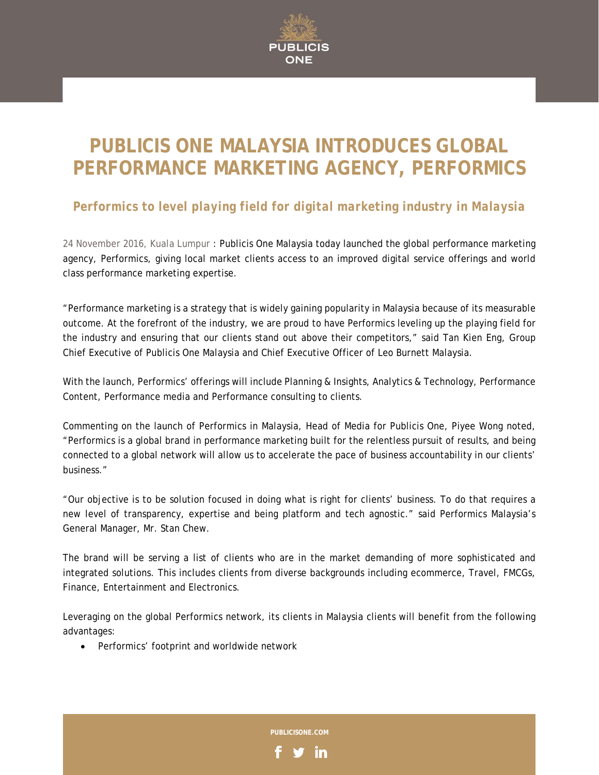

## **PUBLICIS ONE MALAYSIA INTRODUCES GLOBAL PERFORMANCE MARKETING AGENCY, PERFORMICS**

## *Performics to level playing field for digital marketing industry in Malaysia*

24 November 2016, Kuala Lumpur : Publicis One Malaysia today launched the global performance marketing agency, Performics, giving local market clients access to an improved digital service offerings and world class performance marketing expertise.

"Performance marketing is a strategy that is widely gaining popularity in Malaysia because of its measurable outcome. At the forefront of the industry, we are proud to have Performics leveling up the playing field for the industry and ensuring that our clients stand out above their competitors," said Tan Kien Eng, Group Chief Executive of Publicis One Malaysia and Chief Executive Officer of Leo Burnett Malaysia.

With the launch, Performics' offerings will include Planning & Insights, Analytics & Technology, Performance Content, Performance media and Performance consulting to clients.

Commenting on the launch of Performics in Malaysia, Head of Media for Publicis One, Piyee Wong noted, "Performics is a global brand in performance marketing built for the relentless pursuit of results, and being connected to a global network will allow us to accelerate the pace of business accountability in our clients' business."

"Our objective is to be solution focused in doing what is right for clients' business. To do that requires a new level of transparency, expertise and being platform and tech agnostic." said Performics Malaysia's General Manager, Mr. Stan Chew.

The brand will be serving a list of clients who are in the market demanding of more sophisticated and integrated solutions. This includes clients from diverse backgrounds including ecommerce, Travel, FMCGs, Finance, Entertainment and Electronics.

Leveraging on the global Performics network, its clients in Malaysia clients will benefit from the following advantages:

• Performics' footprint and worldwide network

**PUBLICISONE.COM** 

in